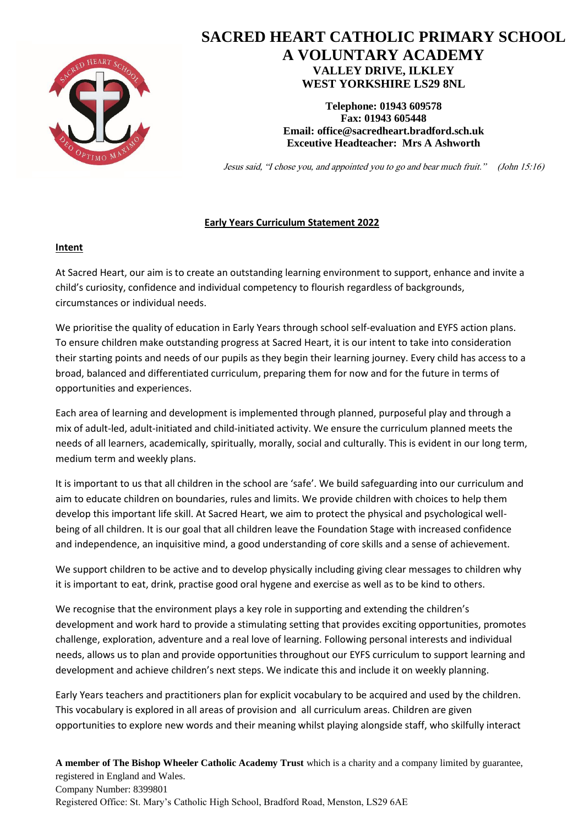

# **SACRED HEART CATHOLIC PRIMARY SCHOOL A VOLUNTARY ACADEMY VALLEY DRIVE, ILKLEY WEST YORKSHIRE LS29 8NL**

**Telephone: 01943 609578 Fax: 01943 605448 Email: [office@sacredheart.bradford.sch.uk](mailto:office@sacredheart.bradford.sch.uk) Exceutive Headteacher: Mrs A Ashworth**

Jesus said, "I chose you, and appointed you to go and bear much fruit." (John 15:16)

## **Early Years Curriculum Statement 2022**

### **Intent**

At Sacred Heart, our aim is to create an outstanding learning environment to support, enhance and invite a child's curiosity, confidence and individual competency to flourish regardless of backgrounds, circumstances or individual needs.

We prioritise the quality of education in Early Years through school self-evaluation and EYFS action plans. To ensure children make outstanding progress at Sacred Heart, it is our intent to take into consideration their starting points and needs of our pupils as they begin their learning journey. Every child has access to a broad, balanced and differentiated curriculum, preparing them for now and for the future in terms of opportunities and experiences.

Each area of learning and development is implemented through planned, purposeful play and through a mix of adult-led, adult-initiated and child-initiated activity. We ensure the curriculum planned meets the needs of all learners, academically, spiritually, morally, social and culturally. This is evident in our long term, medium term and weekly plans.

It is important to us that all children in the school are 'safe'. We build safeguarding into our curriculum and aim to educate children on boundaries, rules and limits. We provide children with choices to help them develop this important life skill. At Sacred Heart, we aim to protect the physical and psychological wellbeing of all children. It is our goal that all children leave the Foundation Stage with increased confidence and independence, an inquisitive mind, a good understanding of core skills and a sense of achievement.

We support children to be active and to develop physically including giving clear messages to children why it is important to eat, drink, practise good oral hygene and exercise as well as to be kind to others.

We recognise that the environment plays a key role in supporting and extending the children's development and work hard to provide a stimulating setting that provides exciting opportunities, promotes challenge, exploration, adventure and a real love of learning. Following personal interests and individual needs, allows us to plan and provide opportunities throughout our EYFS curriculum to support learning and development and achieve children's next steps. We indicate this and include it on weekly planning.

Early Years teachers and practitioners plan for explicit vocabulary to be acquired and used by the children. This vocabulary is explored in all areas of provision and all curriculum areas. Children are given opportunities to explore new words and their meaning whilst playing alongside staff, who skilfully interact

**A member of The Bishop Wheeler Catholic Academy Trust** which is a charity and a company limited by guarantee, registered in England and Wales. Company Number: 8399801 Registered Office: St. Mary's Catholic High School, Bradford Road, Menston, LS29 6AE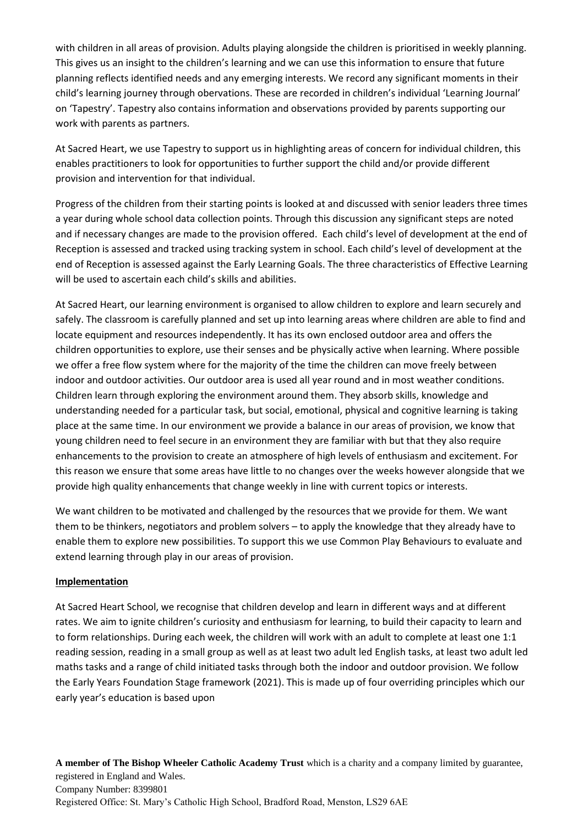with children in all areas of provision. Adults playing alongside the children is prioritised in weekly planning. This gives us an insight to the children's learning and we can use this information to ensure that future planning reflects identified needs and any emerging interests. We record any significant moments in their child's learning journey through obervations. These are recorded in children's individual 'Learning Journal' on 'Tapestry'. Tapestry also contains information and observations provided by parents supporting our work with parents as partners.

At Sacred Heart, we use Tapestry to support us in highlighting areas of concern for individual children, this enables practitioners to look for opportunities to further support the child and/or provide different provision and intervention for that individual.

Progress of the children from their starting points is looked at and discussed with senior leaders three times a year during whole school data collection points. Through this discussion any significant steps are noted and if necessary changes are made to the provision offered. Each child's level of development at the end of Reception is assessed and tracked using tracking system in school. Each child's level of development at the end of Reception is assessed against the Early Learning Goals. The three characteristics of Effective Learning will be used to ascertain each child's skills and abilities.

At Sacred Heart, our learning environment is organised to allow children to explore and learn securely and safely. The classroom is carefully planned and set up into learning areas where children are able to find and locate equipment and resources independently. It has its own enclosed outdoor area and offers the children opportunities to explore, use their senses and be physically active when learning. Where possible we offer a free flow system where for the majority of the time the children can move freely between indoor and outdoor activities. Our outdoor area is used all year round and in most weather conditions. Children learn through exploring the environment around them. They absorb skills, knowledge and understanding needed for a particular task, but social, emotional, physical and cognitive learning is taking place at the same time. In our environment we provide a balance in our areas of provision, we know that young children need to feel secure in an environment they are familiar with but that they also require enhancements to the provision to create an atmosphere of high levels of enthusiasm and excitement. For this reason we ensure that some areas have little to no changes over the weeks however alongside that we provide high quality enhancements that change weekly in line with current topics or interests.

We want children to be motivated and challenged by the resources that we provide for them. We want them to be thinkers, negotiators and problem solvers – to apply the knowledge that they already have to enable them to explore new possibilities. To support this we use Common Play Behaviours to evaluate and extend learning through play in our areas of provision.

### **Implementation**

At Sacred Heart School, we recognise that children develop and learn in different ways and at different rates. We aim to ignite children's curiosity and enthusiasm for learning, to build their capacity to learn and to form relationships. During each week, the children will work with an adult to complete at least one 1:1 reading session, reading in a small group as well as at least two adult led English tasks, at least two adult led maths tasks and a range of child initiated tasks through both the indoor and outdoor provision. We follow the Early Years Foundation Stage framework (2021). This is made up of four overriding principles which our early year's education is based upon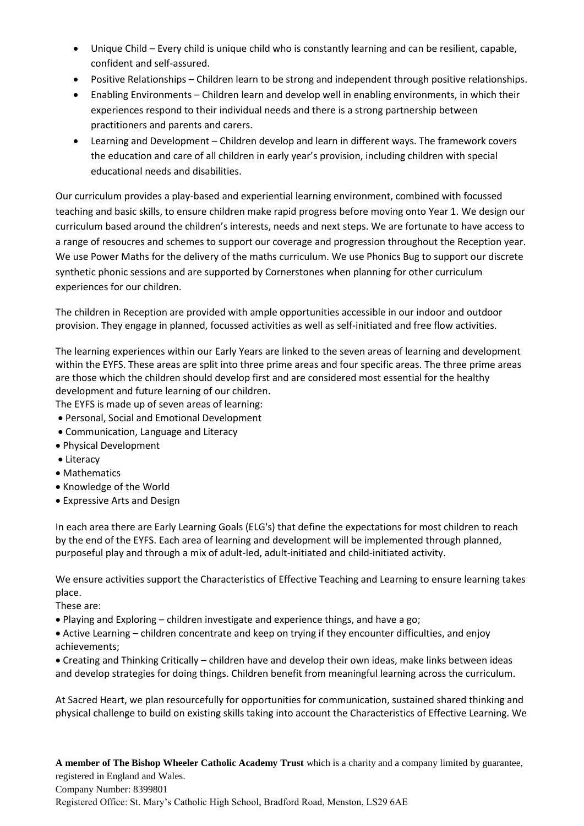- Unique Child Every child is unique child who is constantly learning and can be resilient, capable, confident and self-assured.
- Positive Relationships Children learn to be strong and independent through positive relationships.
- Enabling Environments Children learn and develop well in enabling environments, in which their experiences respond to their individual needs and there is a strong partnership between practitioners and parents and carers.
- Learning and Development Children develop and learn in different ways. The framework covers the education and care of all children in early year's provision, including children with special educational needs and disabilities.

Our curriculum provides a play-based and experiential learning environment, combined with focussed teaching and basic skills, to ensure children make rapid progress before moving onto Year 1. We design our curriculum based around the children's interests, needs and next steps. We are fortunate to have access to a range of resoucres and schemes to support our coverage and progression throughout the Reception year. We use Power Maths for the delivery of the maths curriculum. We use Phonics Bug to support our discrete synthetic phonic sessions and are supported by Cornerstones when planning for other curriculum experiences for our children.

The children in Reception are provided with ample opportunities accessible in our indoor and outdoor provision. They engage in planned, focussed activities as well as self-initiated and free flow activities.

The learning experiences within our Early Years are linked to the seven areas of learning and development within the EYFS. These areas are split into three prime areas and four specific areas. The three prime areas are those which the children should develop first and are considered most essential for the healthy development and future learning of our children.

The EYFS is made up of seven areas of learning:

- Personal, Social and Emotional Development
- Communication, Language and Literacy
- Physical Development
- Literacy
- Mathematics
- Knowledge of the World
- Expressive Arts and Design

In each area there are Early Learning Goals (ELG's) that define the expectations for most children to reach by the end of the EYFS. Each area of learning and development will be implemented through planned, purposeful play and through a mix of adult-led, adult-initiated and child-initiated activity.

We ensure activities support the Characteristics of Effective Teaching and Learning to ensure learning takes place.

These are:

• Playing and Exploring – children investigate and experience things, and have a go;

• Active Learning – children concentrate and keep on trying if they encounter difficulties, and enjoy achievements;

• Creating and Thinking Critically – children have and develop their own ideas, make links between ideas and develop strategies for doing things. Children benefit from meaningful learning across the curriculum.

At Sacred Heart, we plan resourcefully for opportunities for communication, sustained shared thinking and physical challenge to build on existing skills taking into account the Characteristics of Effective Learning. We

**A member of The Bishop Wheeler Catholic Academy Trust** which is a charity and a company limited by guarantee, registered in England and Wales. Company Number: 8399801 Registered Office: St. Mary's Catholic High School, Bradford Road, Menston, LS29 6AE